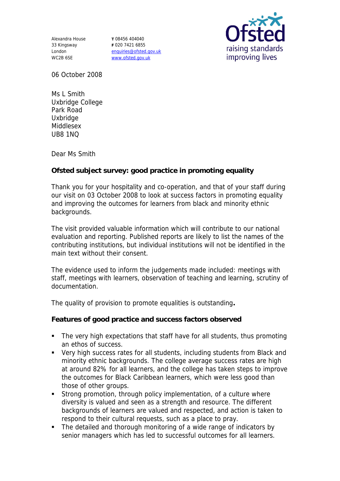Alexandra House 33 Kingsway London WC2B 6SE

**T** 08456 404040 **F** 020 7421 6855 enquiries@ofsted.gov.uk www.ofsted.gov.uk



06 October 2008

Ms L Smith Uxbridge College Park Road **Uxbridge** Middlesex UB8 1NQ

Dear Ms Smith

**Ofsted subject survey: good practice in promoting equality** 

Thank you for your hospitality and co-operation, and that of your staff during our visit on 03 October 2008 to look at success factors in promoting equality and improving the outcomes for learners from black and minority ethnic backgrounds.

The visit provided valuable information which will contribute to our national evaluation and reporting. Published reports are likely to list the names of the contributing institutions, but individual institutions will not be identified in the main text without their consent.

The evidence used to inform the judgements made included: meetings with staff, meetings with learners, observation of teaching and learning, scrutiny of documentation.

The quality of provision to promote equalities is outstanding**.**

**Features of good practice and success factors observed**

- The very high expectations that staff have for all students, thus promoting an ethos of success.
- Very high success rates for all students, including students from Black and minority ethnic backgrounds. The college average success rates are high at around 82% for all learners, and the college has taken steps to improve the outcomes for Black Caribbean learners, which were less good than those of other groups.
- **Strong promotion, through policy implementation, of a culture where** diversity is valued and seen as a strength and resource. The different backgrounds of learners are valued and respected, and action is taken to respond to their cultural requests, such as a place to pray.
- The detailed and thorough monitoring of a wide range of indicators by senior managers which has led to successful outcomes for all learners.